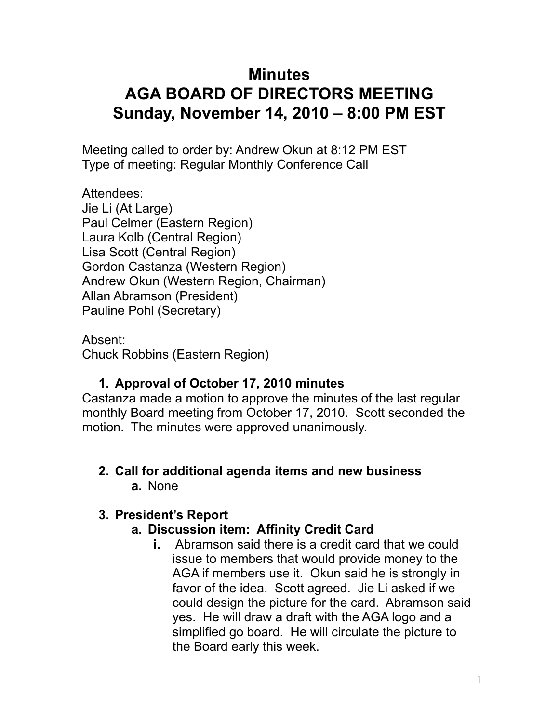# **Minutes AGA BOARD OF DIRECTORS MEETING Sunday, November 14, 2010 – 8:00 PM EST**

Meeting called to order by: Andrew Okun at 8:12 PM EST Type of meeting: Regular Monthly Conference Call

Attendees: Jie Li (At Large) Paul Celmer (Eastern Region) Laura Kolb (Central Region) Lisa Scott (Central Region) Gordon Castanza (Western Region) Andrew Okun (Western Region, Chairman) Allan Abramson (President) Pauline Pohl (Secretary)

Absent: Chuck Robbins (Eastern Region)

### **1. Approval of October 17, 2010 minutes**

Castanza made a motion to approve the minutes of the last regular monthly Board meeting from October 17, 2010. Scott seconded the motion. The minutes were approved unanimously.

#### **2. Call for additional agenda items and new business a.** None

### **3. President's Report**

### **a. Discussion item: Affinity Credit Card**

**i.** Abramson said there is a credit card that we could issue to members that would provide money to the AGA if members use it. Okun said he is strongly in favor of the idea. Scott agreed. Jie Li asked if we could design the picture for the card. Abramson said yes. He will draw a draft with the AGA logo and a simplified go board. He will circulate the picture to the Board early this week.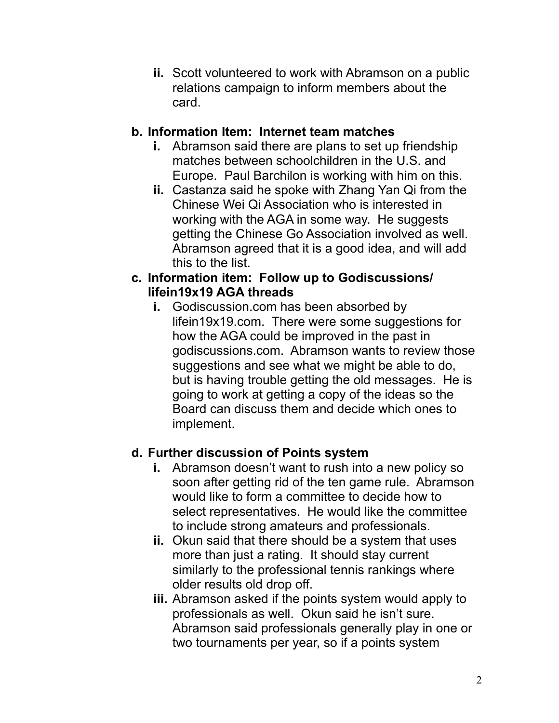**ii.** Scott volunteered to work with Abramson on a public relations campaign to inform members about the card.

#### **b. Information Item: Internet team matches**

- **i.** Abramson said there are plans to set up friendship matches between schoolchildren in the U.S. and Europe. Paul Barchilon is working with him on this.
- **ii.** Castanza said he spoke with Zhang Yan Qi from the Chinese Wei Qi Association who is interested in working with the AGA in some way. He suggests getting the Chinese Go Association involved as well. Abramson agreed that it is a good idea, and will add this to the list.

#### **c. Information item: Follow up to Godiscussions/ lifein19x19 AGA threads**

**i.** Godiscussion.com has been absorbed by lifein19x19.com. There were some suggestions for how the AGA could be improved in the past in godiscussions.com. Abramson wants to review those suggestions and see what we might be able to do, but is having trouble getting the old messages. He is going to work at getting a copy of the ideas so the Board can discuss them and decide which ones to implement.

### **d. Further discussion of Points system**

- **i.** Abramson doesn't want to rush into a new policy so soon after getting rid of the ten game rule. Abramson would like to form a committee to decide how to select representatives. He would like the committee to include strong amateurs and professionals.
- **ii.** Okun said that there should be a system that uses more than just a rating. It should stay current similarly to the professional tennis rankings where older results old drop off.
- **iii.** Abramson asked if the points system would apply to professionals as well. Okun said he isn't sure. Abramson said professionals generally play in one or two tournaments per year, so if a points system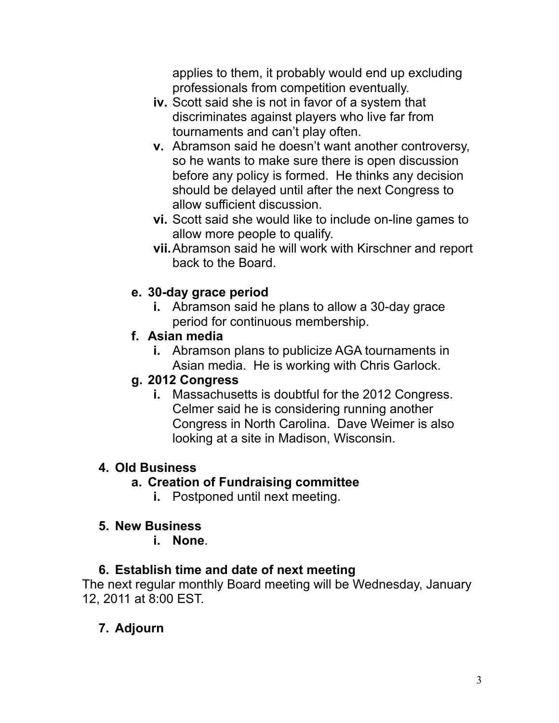applies to them, it probably would end up excluding professionals from competition eventually.

- **iv.** Scott said she is not in favor of a system that discriminates against players who live far from tournaments and can't play often.
- **v.** Abramson said he doesn't want another controversy, so he wants to make sure there is open discussion before any policy is formed. He thinks any decision should be delayed until after the next Congress to allow sufficient discussion.
- **vi.** Scott said she would like to include on-line games to allow more people to qualify.
- **vii.**Abramson said he will work with Kirschner and report back to the Board.

### **e. 30-day grace period**

**i.** Abramson said he plans to allow a 30-day grace period for continuous membership.

## **f. Asian media**

**i.** Abramson plans to publicize AGA tournaments in Asian media. He is working with Chris Garlock.

### **g. 2012 Congress**

**i.** Massachusetts is doubtful for the 2012 Congress. Celmer said he is considering running another Congress in North Carolina. Dave Weimer is also looking at a site in Madison, Wisconsin.

### **4. Old Business**

### **a. Creation of Fundraising committee**

**i.** Postponed until next meeting.

## **5. New Business**

**i. None**.

## **6. Establish time and date of next meeting**

The next regular monthly Board meeting will be Wednesday, January 12, 2011 at 8:00 EST.

# **7. Adjourn**